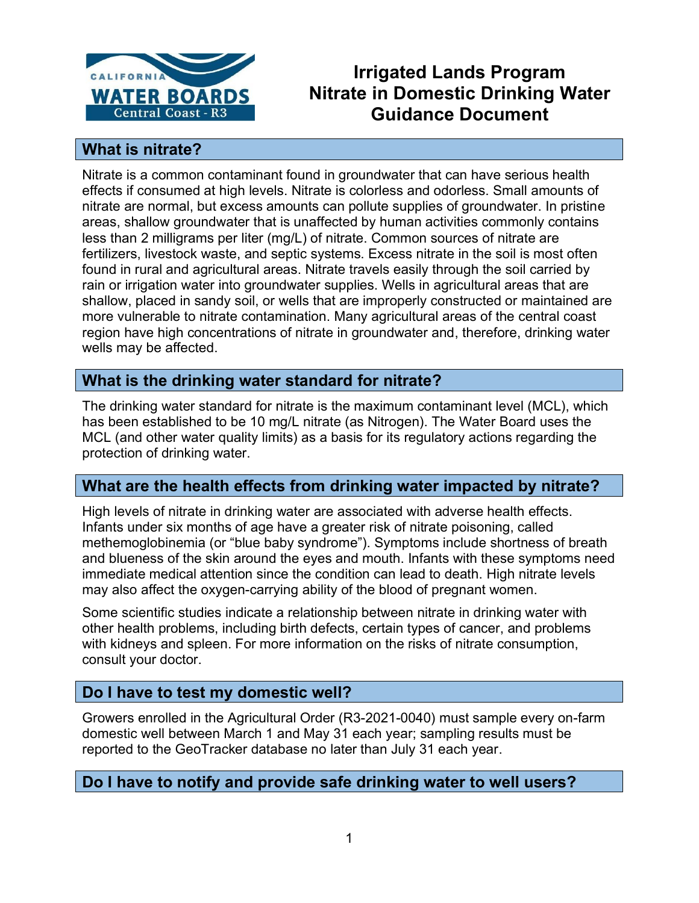

# **Irrigated Lands Program Nitrate in Domestic Drinking Water Guidance Document**

## **What is nitrate?**

Nitrate is a common contaminant found in groundwater that can have serious health effects if consumed at high levels. Nitrate is colorless and odorless. Small amounts of nitrate are normal, but excess amounts can pollute supplies of groundwater. In pristine areas, shallow groundwater that is unaffected by human activities commonly contains less than 2 milligrams per liter (mg/L) of nitrate. Common sources of nitrate are fertilizers, livestock waste, and septic systems. Excess nitrate in the soil is most often found in rural and agricultural areas. Nitrate travels easily through the soil carried by rain or irrigation water into groundwater supplies. Wells in agricultural areas that are shallow, placed in sandy soil, or wells that are improperly constructed or maintained are more vulnerable to nitrate contamination. Many agricultural areas of the central coast region have high concentrations of nitrate in groundwater and, therefore, drinking water wells may be affected.

## **What is the drinking water standard for nitrate?**

The drinking water standard for nitrate is the maximum contaminant level (MCL), which has been established to be 10 mg/L nitrate (as Nitrogen). The Water Board uses the MCL (and other water quality limits) as a basis for its regulatory actions regarding the protection of drinking water.

## **What are the health effects from drinking water impacted by nitrate?**

High levels of nitrate in drinking water are associated with adverse health effects. Infants under six months of age have a greater risk of nitrate poisoning, called methemoglobinemia (or "blue baby syndrome"). Symptoms include shortness of breath and blueness of the skin around the eyes and mouth. Infants with these symptoms need immediate medical attention since the condition can lead to death. High nitrate levels may also affect the oxygen-carrying ability of the blood of pregnant women.

Some scientific studies indicate a relationship between nitrate in drinking water with other health problems, including birth defects, certain types of cancer, and problems with kidneys and spleen. For more information on the risks of nitrate consumption, consult your doctor.

## **Do I have to test my domestic well?**

Growers enrolled in the Agricultural Order (R3-2021-0040) must sample every on-farm domestic well between March 1 and May 31 each year; sampling results must be reported to the GeoTracker database no later than July 31 each year.

## **Do I have to notify and provide safe drinking water to well users?**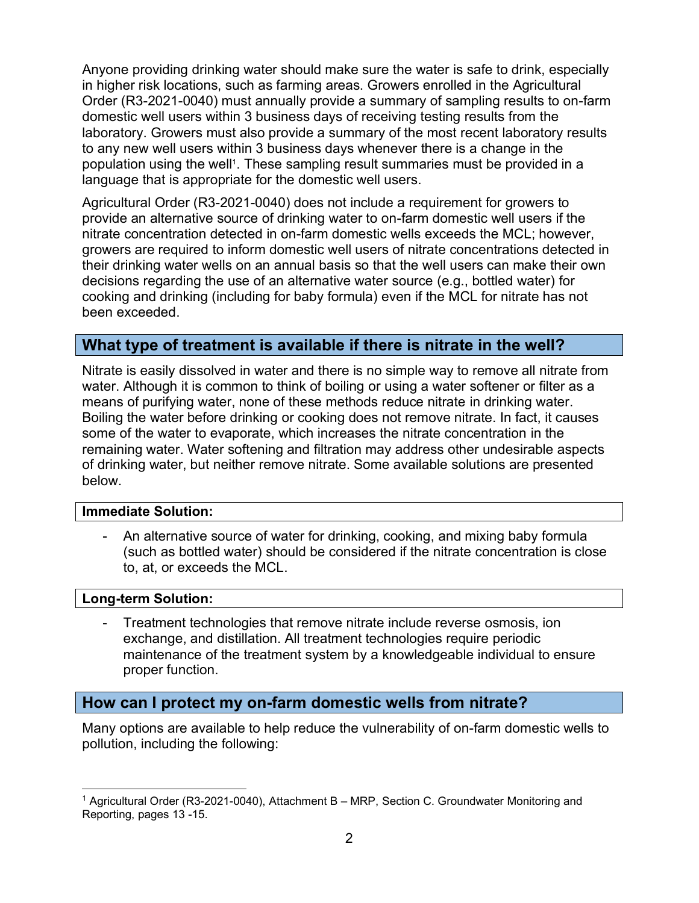Anyone providing drinking water should make sure the water is safe to drink, especially in higher risk locations, such as farming areas. Growers enrolled in the Agricultural Order (R3-2021-0040) must annually provide a summary of sampling results to on-farm domestic well users within 3 business days of receiving testing results from the laboratory. Growers must also provide a summary of the most recent laboratory results to any new well users within 3 business days whenever there is a change in the population using the well[1](#page-1-0). These sampling result summaries must be provided in a language that is appropriate for the domestic well users.

Agricultural Order (R3-2021-0040) does not include a requirement for growers to provide an alternative source of drinking water to on-farm domestic well users if the nitrate concentration detected in on-farm domestic wells exceeds the MCL; however, growers are required to inform domestic well users of nitrate concentrations detected in their drinking water wells on an annual basis so that the well users can make their own decisions regarding the use of an alternative water source (e.g., bottled water) for cooking and drinking (including for baby formula) even if the MCL for nitrate has not been exceeded.

## **What type of treatment is available if there is nitrate in the well?**

Nitrate is easily dissolved in water and there is no simple way to remove all nitrate from water. Although it is common to think of boiling or using a water softener or filter as a means of purifying water, none of these methods reduce nitrate in drinking water. Boiling the water before drinking or cooking does not remove nitrate. In fact, it causes some of the water to evaporate, which increases the nitrate concentration in the remaining water. Water softening and filtration may address other undesirable aspects of drinking water, but neither remove nitrate. Some available solutions are presented below.

#### **Immediate Solution:**

- An alternative source of water for drinking, cooking, and mixing baby formula (such as bottled water) should be considered if the nitrate concentration is close to, at, or exceeds the MCL.

#### **Long-term Solution:**

- Treatment technologies that remove nitrate include reverse osmosis, ion exchange, and distillation. All treatment technologies require periodic maintenance of the treatment system by a knowledgeable individual to ensure proper function.

#### **How can I protect my on-farm domestic wells from nitrate?**

Many options are available to help reduce the vulnerability of on-farm domestic wells to pollution, including the following:

<span id="page-1-0"></span><sup>&</sup>lt;sup>1</sup> Agricultural Order (R3-2021-0040), Attachment B - MRP, Section C. Groundwater Monitoring and Reporting, pages 13 -15.